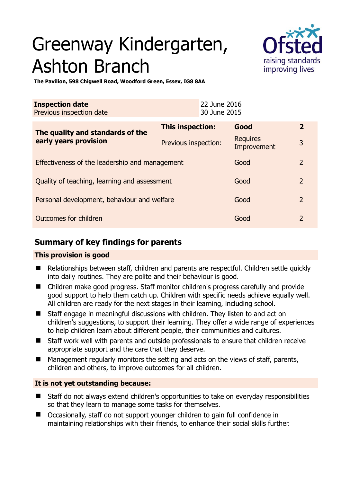# Greenway Kindergarten, Ashton Branch



**The Pavilion, 598 Chigwell Road, Woodford Green, Essex, IG8 8AA** 

| <b>Inspection date</b><br>Previous inspection date |                         | 22 June 2016<br>30 June 2015 |                         |                |
|----------------------------------------------------|-------------------------|------------------------------|-------------------------|----------------|
| The quality and standards of the                   | <b>This inspection:</b> |                              | Good                    | $\mathbf{2}$   |
| early years provision                              | Previous inspection:    |                              | Requires<br>Improvement | 3              |
| Effectiveness of the leadership and management     |                         |                              | Good                    | $\mathcal{L}$  |
| Quality of teaching, learning and assessment       |                         |                              | Good                    | $\overline{2}$ |
| Personal development, behaviour and welfare        |                         |                              | Good                    | 2              |
| Outcomes for children                              |                         |                              | Good                    | $\mathcal{P}$  |

# **Summary of key findings for parents**

## **This provision is good**

- Relationships between staff, children and parents are respectful. Children settle quickly into daily routines. They are polite and their behaviour is good.
- Children make good progress. Staff monitor children's progress carefully and provide good support to help them catch up. Children with specific needs achieve equally well. All children are ready for the next stages in their learning, including school.
- Staff engage in meaningful discussions with children. They listen to and act on children's suggestions, to support their learning. They offer a wide range of experiences to help children learn about different people, their communities and cultures.
- Staff work well with parents and outside professionals to ensure that children receive appropriate support and the care that they deserve.
- $\blacksquare$  Management regularly monitors the setting and acts on the views of staff, parents, children and others, to improve outcomes for all children.

# **It is not yet outstanding because:**

- Staff do not always extend children's opportunities to take on everyday responsibilities so that they learn to manage some tasks for themselves.
- Occasionally, staff do not support younger children to gain full confidence in maintaining relationships with their friends, to enhance their social skills further.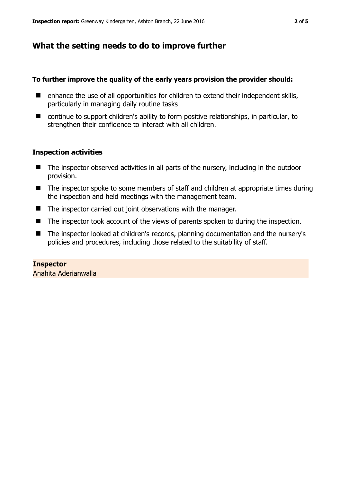# **What the setting needs to do to improve further**

## **To further improve the quality of the early years provision the provider should:**

- $\blacksquare$  enhance the use of all opportunities for children to extend their independent skills, particularly in managing daily routine tasks
- continue to support children's ability to form positive relationships, in particular, to strengthen their confidence to interact with all children.

## **Inspection activities**

- The inspector observed activities in all parts of the nursery, including in the outdoor provision.
- The inspector spoke to some members of staff and children at appropriate times during the inspection and held meetings with the management team.
- The inspector carried out joint observations with the manager.
- The inspector took account of the views of parents spoken to during the inspection.
- The inspector looked at children's records, planning documentation and the nursery's policies and procedures, including those related to the suitability of staff.

# **Inspector**

Anahita Aderianwalla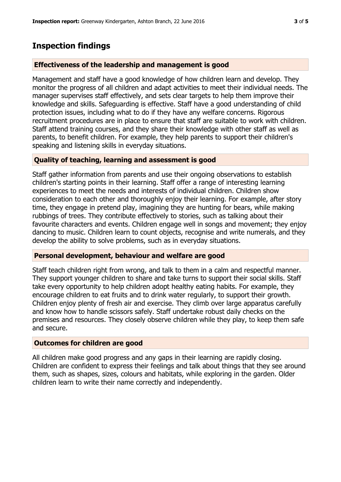# **Inspection findings**

### **Effectiveness of the leadership and management is good**

Management and staff have a good knowledge of how children learn and develop. They monitor the progress of all children and adapt activities to meet their individual needs. The manager supervises staff effectively, and sets clear targets to help them improve their knowledge and skills. Safeguarding is effective. Staff have a good understanding of child protection issues, including what to do if they have any welfare concerns. Rigorous recruitment procedures are in place to ensure that staff are suitable to work with children. Staff attend training courses, and they share their knowledge with other staff as well as parents, to benefit children. For example, they help parents to support their children's speaking and listening skills in everyday situations.

#### **Quality of teaching, learning and assessment is good**

Staff gather information from parents and use their ongoing observations to establish children's starting points in their learning. Staff offer a range of interesting learning experiences to meet the needs and interests of individual children. Children show consideration to each other and thoroughly enjoy their learning. For example, after story time, they engage in pretend play, imagining they are hunting for bears, while making rubbings of trees. They contribute effectively to stories, such as talking about their favourite characters and events. Children engage well in songs and movement; they enjoy dancing to music. Children learn to count objects, recognise and write numerals, and they develop the ability to solve problems, such as in everyday situations.

## **Personal development, behaviour and welfare are good**

Staff teach children right from wrong, and talk to them in a calm and respectful manner. They support younger children to share and take turns to support their social skills. Staff take every opportunity to help children adopt healthy eating habits. For example, they encourage children to eat fruits and to drink water regularly, to support their growth. Children enjoy plenty of fresh air and exercise. They climb over large apparatus carefully and know how to handle scissors safely. Staff undertake robust daily checks on the premises and resources. They closely observe children while they play, to keep them safe and secure.

#### **Outcomes for children are good**

All children make good progress and any gaps in their learning are rapidly closing. Children are confident to express their feelings and talk about things that they see around them, such as shapes, sizes, colours and habitats, while exploring in the garden. Older children learn to write their name correctly and independently.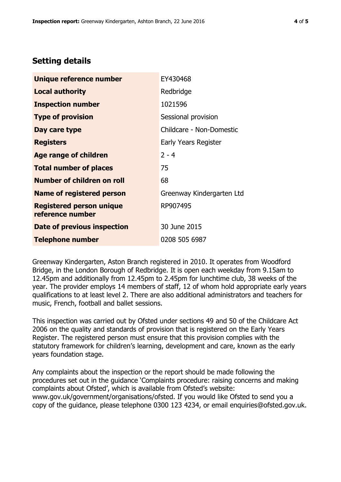# **Setting details**

| Unique reference number                             | EY430468                  |  |  |
|-----------------------------------------------------|---------------------------|--|--|
| <b>Local authority</b>                              | Redbridge                 |  |  |
| <b>Inspection number</b>                            | 1021596                   |  |  |
| <b>Type of provision</b>                            | Sessional provision       |  |  |
| Day care type                                       | Childcare - Non-Domestic  |  |  |
| <b>Registers</b>                                    | Early Years Register      |  |  |
| <b>Age range of children</b>                        | $2 - 4$                   |  |  |
| <b>Total number of places</b>                       | 75                        |  |  |
| <b>Number of children on roll</b>                   | 68                        |  |  |
| <b>Name of registered person</b>                    | Greenway Kindergarten Ltd |  |  |
| <b>Registered person unique</b><br>reference number | RP907495                  |  |  |
| Date of previous inspection                         | 30 June 2015              |  |  |
| <b>Telephone number</b>                             | 0208 505 6987             |  |  |

Greenway Kindergarten, Aston Branch registered in 2010. It operates from Woodford Bridge, in the London Borough of Redbridge. It is open each weekday from 9.15am to 12.45pm and additionally from 12.45pm to 2.45pm for lunchtime club, 38 weeks of the year. The provider employs 14 members of staff, 12 of whom hold appropriate early years qualifications to at least level 2. There are also additional administrators and teachers for music, French, football and ballet sessions.

This inspection was carried out by Ofsted under sections 49 and 50 of the Childcare Act 2006 on the quality and standards of provision that is registered on the Early Years Register. The registered person must ensure that this provision complies with the statutory framework for children's learning, development and care, known as the early years foundation stage.

Any complaints about the inspection or the report should be made following the procedures set out in the guidance 'Complaints procedure: raising concerns and making complaints about Ofsted', which is available from Ofsted's website: www.gov.uk/government/organisations/ofsted. If you would like Ofsted to send you a copy of the guidance, please telephone 0300 123 4234, or email enquiries@ofsted.gov.uk.